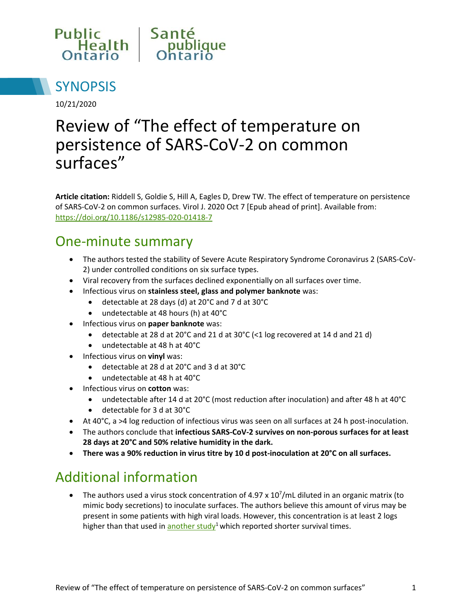



10/21/2020

# Review of "The effect of temperature on persistence of SARS-CoV-2 on common surfaces"

**Article citation:** Riddell S, Goldie S, Hill A, Eagles D, Drew TW. The effect of temperature on persistence of SARS-CoV-2 on common surfaces. Virol J. 2020 Oct 7 [Epub ahead of print]. Available from: <https://doi.org/10.1186/s12985-020-01418-7>

#### One-minute summary

- The authors tested the stability of Severe Acute Respiratory Syndrome Coronavirus 2 (SARS-CoV-2) under controlled conditions on six surface types.
- Viral recovery from the surfaces declined exponentially on all surfaces over time.
- Infectious virus on **stainless steel, glass and polymer banknote** was:
	- detectable at 28 days (d) at 20°C and 7 d at 30°C
	- undetectable at 48 hours (h) at 40°C
- **•** Infectious virus on **paper banknote** was:
	- detectable at 28 d at 20°C and 21 d at 30°C (<1 log recovered at 14 d and 21 d)
	- undetectable at 48 h at 40°C
- Infectious virus on **vinyl** was:
	- detectable at 28 d at 20°C and 3 d at 30°C
	- undetectable at 48 h at 40°C
- Infectious virus on **cotton** was:
	- undetectable after 14 d at 20°C (most reduction after inoculation) and after 48 h at 40°C
	- detectable for 3 d at 30°C
- At 40°C, a >4 log reduction of infectious virus was seen on all surfaces at 24 h post-inoculation.
- The authors conclude that **infectious SARS-CoV-2 survives on non-porous surfaces for at least 28 days at 20°C and 50% relative humidity in the dark.**
- **There was a 90% reduction in virus titre by 10 d post-inoculation at 20°C on all surfaces.**

#### Additional information

• The authors used a virus stock concentration of 4.97 x  $10^7$ /mL diluted in an organic matrix (to mimic body secretions) to inoculate surfaces. The authors believe this amount of virus may be present in some patients with high viral loads. However, this concentration is at least 2 logs higher than that used in [another study](https://doi.org/10.1056/NEJMc2004973)<sup>1</sup> which reported shorter survival times.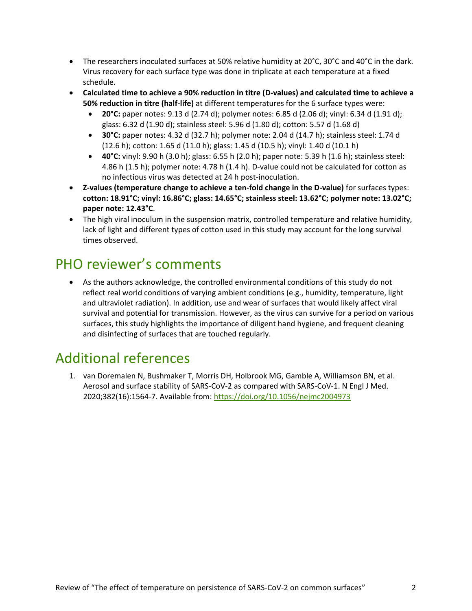- The researchers inoculated surfaces at 50% relative humidity at 20°C, 30°C and 40°C in the dark. Virus recovery for each surface type was done in triplicate at each temperature at a fixed schedule.
- **Calculated time to achieve a 90% reduction in titre (D-values) and calculated time to achieve a 50% reduction in titre (half-life)** at different temperatures for the 6 surface types were:
	- **20°C:** paper notes: 9.13 d (2.74 d); polymer notes: 6.85 d (2.06 d); vinyl: 6.34 d (1.91 d); glass: 6.32 d (1.90 d); stainless steel: 5.96 d (1.80 d); cotton: 5.57 d (1.68 d)
	- **30°C:** paper notes: 4.32 d (32.7 h); polymer note: 2.04 d (14.7 h); stainless steel: 1.74 d (12.6 h); cotton: 1.65 d (11.0 h); glass: 1.45 d (10.5 h); vinyl: 1.40 d (10.1 h)
	- **40°C:** vinyl: 9.90 h (3.0 h); glass: 6.55 h (2.0 h); paper note: 5.39 h (1.6 h); stainless steel: 4.86 h (1.5 h); polymer note: 4.78 h (1.4 h). D-value could not be calculated for cotton as no infectious virus was detected at 24 h post-inoculation.
- **Z-values (temperature change to achieve a ten-fold change in the D-value)** for surfaces types: **cotton: 18.91°C; vinyl: 16.86°C; glass: 14.65°C; stainless steel: 13.62°C; polymer note: 13.02°C; paper note: 12.43°C**.
- The high viral inoculum in the suspension matrix, controlled temperature and relative humidity, lack of light and different types of cotton used in this study may account for the long survival times observed.

### PHO reviewer's comments

 As the authors acknowledge, the controlled environmental conditions of this study do not reflect real world conditions of varying ambient conditions (e.g., humidity, temperature, light and ultraviolet radiation). In addition, use and wear of surfaces that would likely affect viral survival and potential for transmission. However, as the virus can survive for a period on various surfaces, this study highlights the importance of diligent hand hygiene, and frequent cleaning and disinfecting of surfaces that are touched regularly.

### Additional references

1. van Doremalen N, Bushmaker T, Morris DH, Holbrook MG, Gamble A, Williamson BN, et al. Aerosol and surface stability of SARS-CoV-2 as compared with SARS-CoV-1. N Engl J Med. 2020;382(16):1564-7. Available from[: https://doi.org/10.1056/nejmc2004973](https://doi.org/10.1056/nejmc2004973)